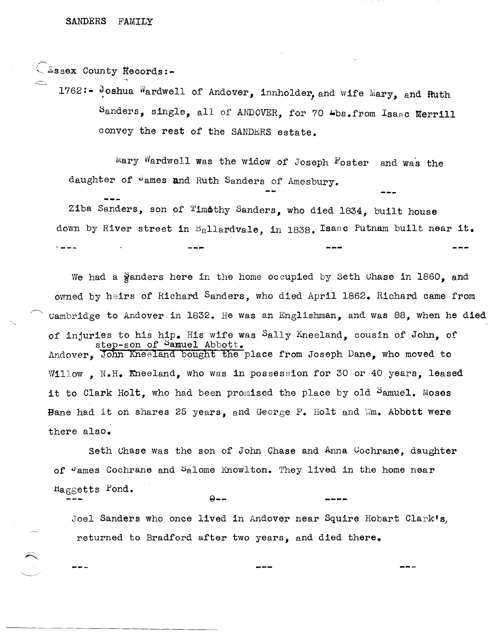$\bigcirc$ Essex County Records:-

1762:- Joshua Wardwell of Andover, innholder, and wife Mary, and Ruth Sanders, single, all of ANDOVER, for 70 Lbs.from Isaac Merrill convey the rest of the SANDERS estate.

Mary Wardwell was the widow of Joseph  $F$ oster and was the daughter of James and Ruth Sanders of Amesbury.

Ziba Sanders, son of Timothy Sanders, who died 1834, built house down by River street in Ballardvale, in 1838. Isaac Putnam built near **it.** 

We had a  $\frac{3}{2}$  anders here in the home occupied by Seth Chase in 1860, and owned by heirs of Richard Sanders, who died April 1862. Richard came from uambridge to Andover in 1832. He was an Englishman, and Was 88, when he died of injuries to his hip. His wife was Sally Kneeland, cousin of John, of step-son of <sup>Samuel</sup> Abbott. Andover. John Kneeland bought the place from Joseph Dane, who moved to Willow. N.H. Kneeland, who was in possession for 30 or 40 years, leased it to Clark Holt, who had been promised the place by old  $\beta$ amuel. Moses Bane had it on shares 25 years, and George  $F$ . Holt and  $Wm$ . Abbott were there also.

Seth Uhase was the son of John Chase and Anna Uochrane, daughter of  $\theta$  ames Cochrane and  $\theta$ alome Knowlton. They lived in the home near  $Higgsoptts$  Pond. **Q--**

Joel Sanders who once lived in Andover near Squire Hobart Clark's, returned to Bradford after two years, and died there.